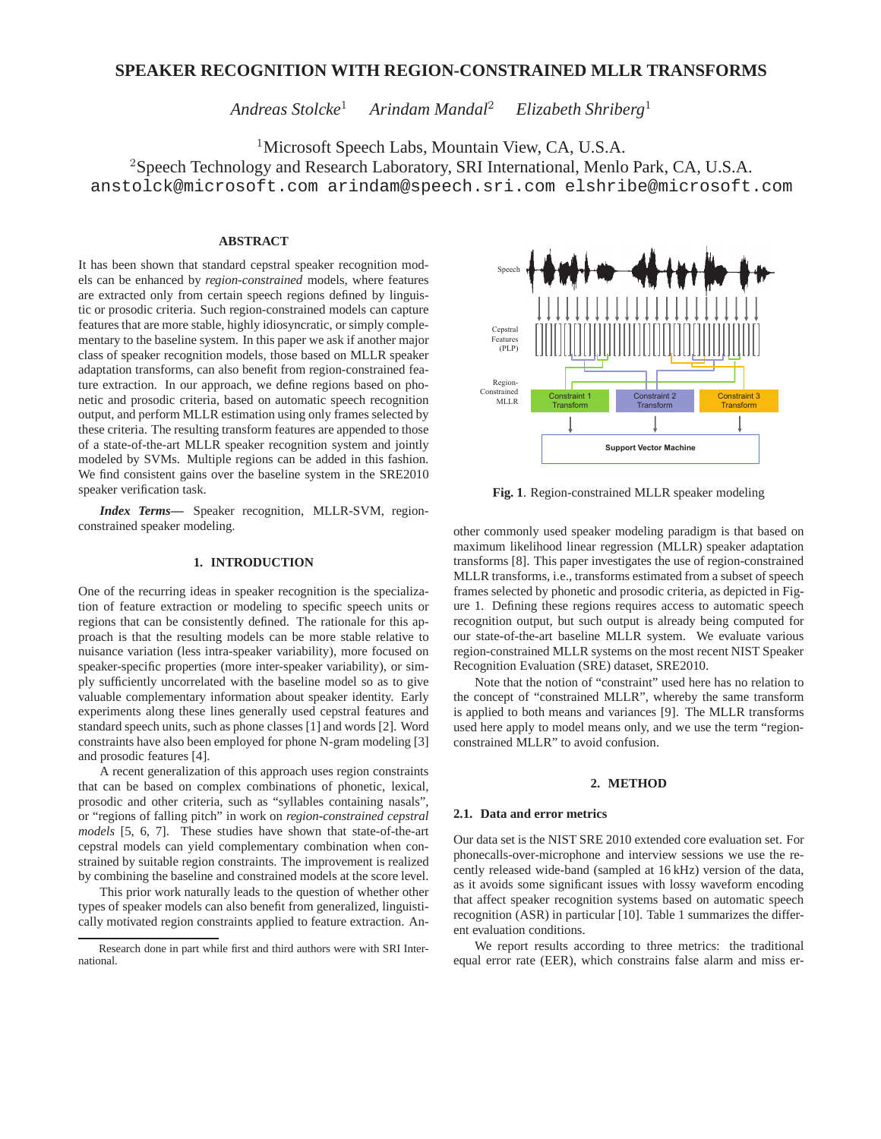# **SPEAKER RECOGNITION WITH REGION-CONSTRAINED MLLR TRANSFORMS**

*Andreas Stolcke*<sup>1</sup> *Arindam Mandal*<sup>2</sup> *Elizabeth Shriberg*<sup>1</sup>

<sup>1</sup>Microsoft Speech Labs, Mountain View, CA, U.S.A.

<sup>2</sup>Speech Technology and Research Laboratory, SRI International, Menlo Park, CA, U.S.A.

anstolck@microsoft.com arindam@speech.sri.com elshribe@microsoft.com

## **ABSTRACT**

It has been shown that standard cepstral speaker recognition models can be enhanced by *region-constrained* models, where features are extracted only from certain speech regions defined by linguistic or prosodic criteria. Such region-constrained models can capture features that are more stable, highly idiosyncratic, or simply complementary to the baseline system. In this paper we ask if another major class of speaker recognition models, those based on MLLR speaker adaptation transforms, can also benefit from region-constrained feature extraction. In our approach, we define regions based on phonetic and prosodic criteria, based on automatic speech recognition output, and perform MLLR estimation using only frames selected by these criteria. The resulting transform features are appended to those of a state-of-the-art MLLR speaker recognition system and jointly modeled by SVMs. Multiple regions can be added in this fashion. We find consistent gains over the baseline system in the SRE2010 speaker verification task.

*Index Terms***—** Speaker recognition, MLLR-SVM, regionconstrained speaker modeling.

## **1. INTRODUCTION**

One of the recurring ideas in speaker recognition is the specialization of feature extraction or modeling to specific speech units or regions that can be consistently defined. The rationale for this approach is that the resulting models can be more stable relative to nuisance variation (less intra-speaker variability), more focused on speaker-specific properties (more inter-speaker variability), or simply sufficiently uncorrelated with the baseline model so as to give valuable complementary information about speaker identity. Early experiments along these lines generally used cepstral features and standard speech units, such as phone classes [1] and words [2]. Word constraints have also been employed for phone N-gram modeling [3] and prosodic features [4].

A recent generalization of this approach uses region constraints that can be based on complex combinations of phonetic, lexical, prosodic and other criteria, such as "syllables containing nasals", or "regions of falling pitch" in work on *region-constrained cepstral models* [5, 6, 7]. These studies have shown that state-of-the-art cepstral models can yield complementary combination when constrained by suitable region constraints. The improvement is realized by combining the baseline and constrained models at the score level.

This prior work naturally leads to the question of whether other types of speaker models can also benefit from generalized, linguistically motivated region constraints applied to feature extraction. An-



**Fig. 1**. Region-constrained MLLR speaker modeling

other commonly used speaker modeling paradigm is that based on maximum likelihood linear regression (MLLR) speaker adaptation transforms [8]. This paper investigates the use of region-constrained MLLR transforms, i.e., transforms estimated from a subset of speech frames selected by phonetic and prosodic criteria, as depicted in Figure 1. Defining these regions requires access to automatic speech recognition output, but such output is already being computed for our state-of-the-art baseline MLLR system. We evaluate various region-constrained MLLR systems on the most recent NIST Speaker Recognition Evaluation (SRE) dataset, SRE2010.

Note that the notion of "constraint" used here has no relation to the concept of "constrained MLLR", whereby the same transform is applied to both means and variances [9]. The MLLR transforms used here apply to model means only, and we use the term "regionconstrained MLLR" to avoid confusion.

## **2. METHOD**

### **2.1. Data and error metrics**

Our data set is the NIST SRE 2010 extended core evaluation set. For phonecalls-over-microphone and interview sessions we use the recently released wide-band (sampled at 16 kHz) version of the data, as it avoids some significant issues with lossy waveform encoding that affect speaker recognition systems based on automatic speech recognition (ASR) in particular [10]. Table 1 summarizes the different evaluation conditions.

We report results according to three metrics: the traditional equal error rate (EER), which constrains false alarm and miss er-

Research done in part while first and third authors were with SRI International.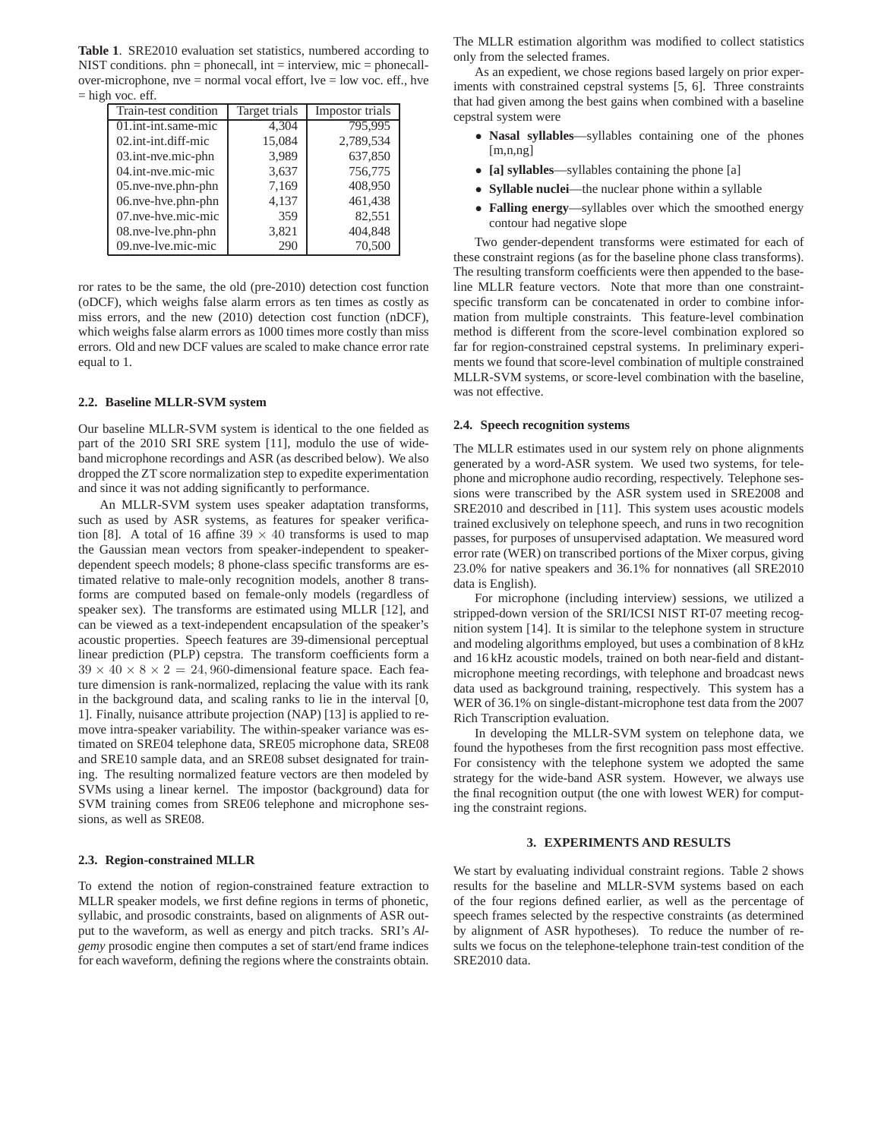**Table 1**. SRE2010 evaluation set statistics, numbered according to NIST conditions.  $phn = phonecall$ ,  $int = interview$ ,  $mic = phonecall$ over-microphone, nve = normal vocal effort, lve = low voc. eff., hve  $=$  high voc. eff.

| Train-test condition              | Target trials | Impostor trials |
|-----------------------------------|---------------|-----------------|
| $\overline{01}$ .int-int.same-mic | 4,304         | 795,995         |
| 02.int-int.diff-mic               | 15,084        | 2,789,534       |
| 03.int-nve.mic-phn                | 3,989         | 637,850         |
| 04.int-nye.mic-mic                | 3,637         | 756,775         |
| 05.nve-nve.phn-phn                | 7,169         | 408,950         |
| 06.nve-hve.phn-phn                | 4,137         | 461,438         |
| 07.nve-hve.mic-mic                | 359           | 82,551          |
| 08.nve-lve.phn-phn                | 3,821         | 404,848         |
| 09.nve-lve.mic-mic                | 290           | 70,500          |

ror rates to be the same, the old (pre-2010) detection cost function (oDCF), which weighs false alarm errors as ten times as costly as miss errors, and the new (2010) detection cost function (nDCF), which weighs false alarm errors as 1000 times more costly than miss errors. Old and new DCF values are scaled to make chance error rate equal to 1.

## **2.2. Baseline MLLR-SVM system**

Our baseline MLLR-SVM system is identical to the one fielded as part of the 2010 SRI SRE system [11], modulo the use of wideband microphone recordings and ASR (as described below). We also dropped the ZT score normalization step to expedite experimentation and since it was not adding significantly to performance.

An MLLR-SVM system uses speaker adaptation transforms, such as used by ASR systems, as features for speaker verification [8]. A total of 16 affine  $39 \times 40$  transforms is used to map the Gaussian mean vectors from speaker-independent to speakerdependent speech models; 8 phone-class specific transforms are estimated relative to male-only recognition models, another 8 transforms are computed based on female-only models (regardless of speaker sex). The transforms are estimated using MLLR [12], and can be viewed as a text-independent encapsulation of the speaker's acoustic properties. Speech features are 39-dimensional perceptual linear prediction (PLP) cepstra. The transform coefficients form a  $39 \times 40 \times 8 \times 2 = 24,960$ -dimensional feature space. Each feature dimension is rank-normalized, replacing the value with its rank in the background data, and scaling ranks to lie in the interval [0, 1]. Finally, nuisance attribute projection (NAP) [13] is applied to remove intra-speaker variability. The within-speaker variance was estimated on SRE04 telephone data, SRE05 microphone data, SRE08 and SRE10 sample data, and an SRE08 subset designated for training. The resulting normalized feature vectors are then modeled by SVMs using a linear kernel. The impostor (background) data for SVM training comes from SRE06 telephone and microphone sessions, as well as SRE08.

#### **2.3. Region-constrained MLLR**

To extend the notion of region-constrained feature extraction to MLLR speaker models, we first define regions in terms of phonetic, syllabic, and prosodic constraints, based on alignments of ASR output to the waveform, as well as energy and pitch tracks. SRI's *Algemy* prosodic engine then computes a set of start/end frame indices for each waveform, defining the regions where the constraints obtain.

The MLLR estimation algorithm was modified to collect statistics only from the selected frames.

As an expedient, we chose regions based largely on prior experiments with constrained cepstral systems [5, 6]. Three constraints that had given among the best gains when combined with a baseline cepstral system were

- **Nasal syllables**—syllables containing one of the phones [m,n,ng]
- **[a] syllables**—syllables containing the phone [a]
- **Syllable nuclei**—the nuclear phone within a syllable
- **Falling energy**—syllables over which the smoothed energy contour had negative slope

Two gender-dependent transforms were estimated for each of these constraint regions (as for the baseline phone class transforms). The resulting transform coefficients were then appended to the baseline MLLR feature vectors. Note that more than one constraintspecific transform can be concatenated in order to combine information from multiple constraints. This feature-level combination method is different from the score-level combination explored so far for region-constrained cepstral systems. In preliminary experiments we found that score-level combination of multiple constrained MLLR-SVM systems, or score-level combination with the baseline, was not effective.

#### **2.4. Speech recognition systems**

The MLLR estimates used in our system rely on phone alignments generated by a word-ASR system. We used two systems, for telephone and microphone audio recording, respectively. Telephone sessions were transcribed by the ASR system used in SRE2008 and SRE2010 and described in [11]. This system uses acoustic models trained exclusively on telephone speech, and runs in two recognition passes, for purposes of unsupervised adaptation. We measured word error rate (WER) on transcribed portions of the Mixer corpus, giving 23.0% for native speakers and 36.1% for nonnatives (all SRE2010 data is English).

For microphone (including interview) sessions, we utilized a stripped-down version of the SRI/ICSI NIST RT-07 meeting recognition system [14]. It is similar to the telephone system in structure and modeling algorithms employed, but uses a combination of 8 kHz and 16 kHz acoustic models, trained on both near-field and distantmicrophone meeting recordings, with telephone and broadcast news data used as background training, respectively. This system has a WER of 36.1% on single-distant-microphone test data from the 2007 Rich Transcription evaluation.

In developing the MLLR-SVM system on telephone data, we found the hypotheses from the first recognition pass most effective. For consistency with the telephone system we adopted the same strategy for the wide-band ASR system. However, we always use the final recognition output (the one with lowest WER) for computing the constraint regions.

## **3. EXPERIMENTS AND RESULTS**

We start by evaluating individual constraint regions. Table 2 shows results for the baseline and MLLR-SVM systems based on each of the four regions defined earlier, as well as the percentage of speech frames selected by the respective constraints (as determined by alignment of ASR hypotheses). To reduce the number of results we focus on the telephone-telephone train-test condition of the SRE2010 data.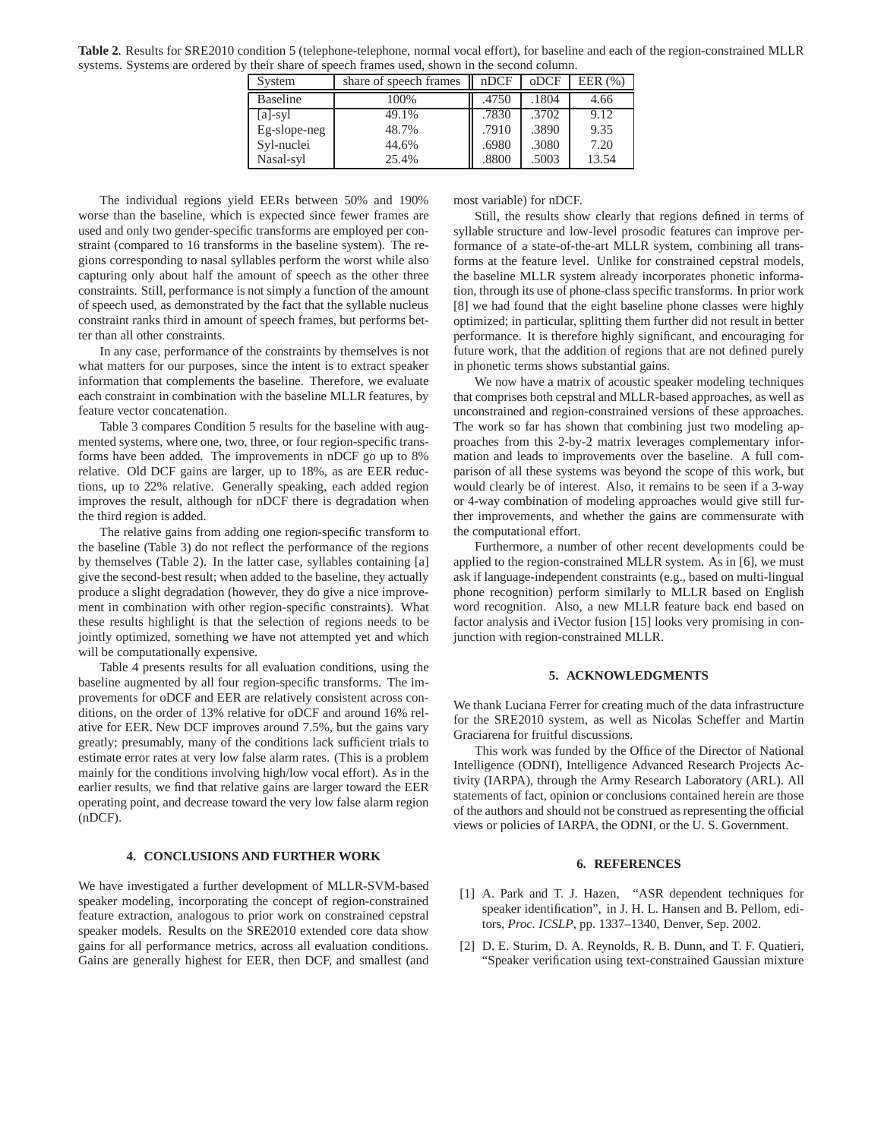**Table 2**. Results for SRE2010 condition 5 (telephone-telephone, normal vocal effort), for baseline and each of the region-constrained MLLR systems. Systems are ordered by their share of speech frames used, shown in the second column.

| System          | share of speech frames | nDCF  | oDCF  | EER $(\% )$ |
|-----------------|------------------------|-------|-------|-------------|
| <b>Baseline</b> | 100%                   | .4750 | .1804 | 4.66        |
| $[a]$ -syl      | 49.1%                  | .7830 | .3702 | 9.12        |
| Eg-slope-neg    | 48.7%                  | .7910 | .3890 | 9.35        |
| Syl-nuclei      | 44.6%                  | .6980 | .3080 | 7.20        |
| Nasal-syl       | 25.4%                  | .8800 | .5003 | 13.54       |

The individual regions yield EERs between 50% and 190% worse than the baseline, which is expected since fewer frames are used and only two gender-specific transforms are employed per constraint (compared to 16 transforms in the baseline system). The regions corresponding to nasal syllables perform the worst while also capturing only about half the amount of speech as the other three constraints. Still, performance is not simply a function of the amount of speech used, as demonstrated by the fact that the syllable nucleus constraint ranks third in amount of speech frames, but performs better than all other constraints.

In any case, performance of the constraints by themselves is not what matters for our purposes, since the intent is to extract speaker information that complements the baseline. Therefore, we evaluate each constraint in combination with the baseline MLLR features, by feature vector concatenation.

Table 3 compares Condition 5 results for the baseline with augmented systems, where one, two, three, or four region-specific transforms have been added. The improvements in nDCF go up to 8% relative. Old DCF gains are larger, up to 18%, as are EER reductions, up to 22% relative. Generally speaking, each added region improves the result, although for nDCF there is degradation when the third region is added.

The relative gains from adding one region-specific transform to the baseline (Table 3) do not reflect the performance of the regions by themselves (Table 2). In the latter case, syllables containing [a] give the second-best result; when added to the baseline, they actually produce a slight degradation (however, they do give a nice improvement in combination with other region-specific constraints). What these results highlight is that the selection of regions needs to be jointly optimized, something we have not attempted yet and which will be computationally expensive.

Table 4 presents results for all evaluation conditions, using the baseline augmented by all four region-specific transforms. The improvements for oDCF and EER are relatively consistent across conditions, on the order of 13% relative for oDCF and around 16% relative for EER. New DCF improves around 7.5%, but the gains vary greatly; presumably, many of the conditions lack sufficient trials to estimate error rates at very low false alarm rates. (This is a problem mainly for the conditions involving high/low vocal effort). As in the earlier results, we find that relative gains are larger toward the EER operating point, and decrease toward the very low false alarm region (nDCF).

## **4. CONCLUSIONS AND FURTHER WORK**

We have investigated a further development of MLLR-SVM-based speaker modeling, incorporating the concept of region-constrained feature extraction, analogous to prior work on constrained cepstral speaker models. Results on the SRE2010 extended core data show gains for all performance metrics, across all evaluation conditions. Gains are generally highest for EER, then DCF, and smallest (and most variable) for nDCF.

Still, the results show clearly that regions defined in terms of syllable structure and low-level prosodic features can improve performance of a state-of-the-art MLLR system, combining all transforms at the feature level. Unlike for constrained cepstral models, the baseline MLLR system already incorporates phonetic information, through its use of phone-class specific transforms. In prior work [8] we had found that the eight baseline phone classes were highly optimized; in particular, splitting them further did not result in better performance. It is therefore highly significant, and encouraging for future work, that the addition of regions that are not defined purely in phonetic terms shows substantial gains.

We now have a matrix of acoustic speaker modeling techniques that comprises both cepstral and MLLR-based approaches, as well as unconstrained and region-constrained versions of these approaches. The work so far has shown that combining just two modeling approaches from this 2-by-2 matrix leverages complementary information and leads to improvements over the baseline. A full comparison of all these systems was beyond the scope of this work, but would clearly be of interest. Also, it remains to be seen if a 3-way or 4-way combination of modeling approaches would give still further improvements, and whether the gains are commensurate with the computational effort.

Furthermore, a number of other recent developments could be applied to the region-constrained MLLR system. As in [6], we must ask if language-independent constraints (e.g., based on multi-lingual phone recognition) perform similarly to MLLR based on English word recognition. Also, a new MLLR feature back end based on factor analysis and iVector fusion [15] looks very promising in conjunction with region-constrained MLLR.

#### **5. ACKNOWLEDGMENTS**

We thank Luciana Ferrer for creating much of the data infrastructure for the SRE2010 system, as well as Nicolas Scheffer and Martin Graciarena for fruitful discussions.

This work was funded by the Office of the Director of National Intelligence (ODNI), Intelligence Advanced Research Projects Activity (IARPA), through the Army Research Laboratory (ARL). All statements of fact, opinion or conclusions contained herein are those of the authors and should not be construed as representing the official views or policies of IARPA, the ODNI, or the U. S. Government.

#### **6. REFERENCES**

- [1] A. Park and T. J. Hazen, "ASR dependent techniques for speaker identification", in J. H. L. Hansen and B. Pellom, editors, *Proc. ICSLP*, pp. 1337–1340, Denver, Sep. 2002.
- [2] D. E. Sturim, D. A. Reynolds, R. B. Dunn, and T. F. Quatieri, "Speaker verification using text-constrained Gaussian mixture